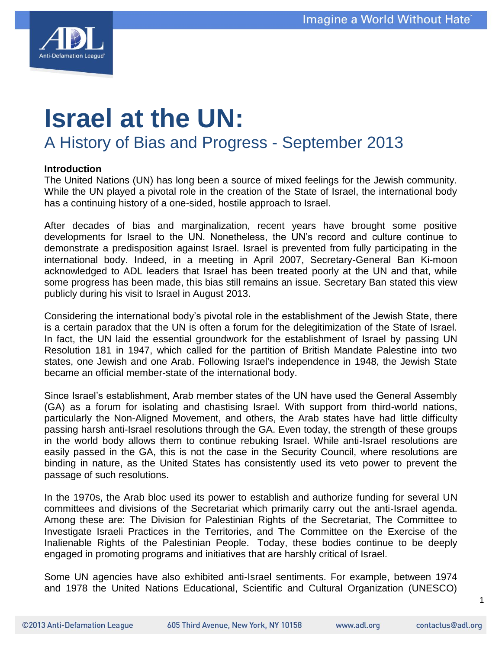

# **Israel at the UN:**  A History of Bias and Progress - September 2013

## **Introduction**

The United Nations (UN) has long been a source of mixed feelings for the Jewish community. While the UN played a pivotal role in the creation of the State of Israel, the international body has a continuing history of a one-sided, hostile approach to Israel.

After decades of bias and marginalization, recent years have brought some positive developments for Israel to the UN. Nonetheless, the UN"s record and culture continue to demonstrate a predisposition against Israel. Israel is prevented from fully participating in the international body. Indeed, in a meeting in April 2007, Secretary-General Ban Ki-moon acknowledged to ADL leaders that Israel has been treated poorly at the UN and that, while some progress has been made, this bias still remains an issue. Secretary Ban stated this view publicly during his visit to Israel in August 2013.

Considering the international body"s pivotal role in the establishment of the Jewish State, there is a certain paradox that the UN is often a forum for the delegitimization of the State of Israel. In fact, the UN laid the essential groundwork for the establishment of Israel by passing UN Resolution 181 in 1947, which called for the partition of British Mandate Palestine into two states, one Jewish and one Arab. Following Israel's independence in 1948, the Jewish State became an official member-state of the international body.

Since Israel"s establishment, Arab member states of the UN have used the General Assembly (GA) as a forum for isolating and chastising Israel. With support from third-world nations, particularly the Non-Aligned Movement, and others, the Arab states have had little difficulty passing harsh anti-Israel resolutions through the GA. Even today, the strength of these groups in the world body allows them to continue rebuking Israel. While anti-Israel resolutions are easily passed in the GA, this is not the case in the Security Council, where resolutions are binding in nature, as the United States has consistently used its veto power to prevent the passage of such resolutions.

In the 1970s, the Arab bloc used its power to establish and authorize funding for several UN committees and divisions of the Secretariat which primarily carry out the anti-Israel agenda. Among these are: The Division for Palestinian Rights of the Secretariat, The Committee to Investigate Israeli Practices in the Territories, and The Committee on the Exercise of the Inalienable Rights of the Palestinian People. Today, these bodies continue to be deeply engaged in promoting programs and initiatives that are harshly critical of Israel.

Some UN agencies have also exhibited anti-Israel sentiments. For example, between 1974 and 1978 the United Nations Educational, Scientific and Cultural Organization (UNESCO)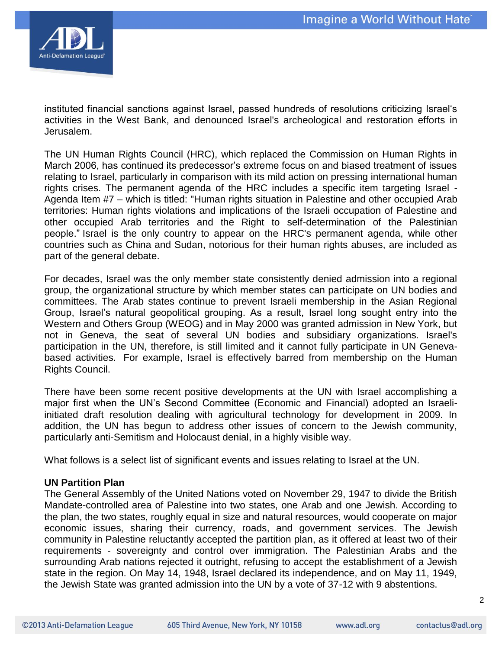

instituted financial sanctions against Israel, passed hundreds of resolutions criticizing Israel"s activities in the West Bank, and denounced Israel's archeological and restoration efforts in Jerusalem.

The UN Human Rights Council (HRC), which replaced the Commission on Human Rights in March 2006, has continued its predecessor's extreme focus on and biased treatment of issues relating to Israel, particularly in comparison with its mild action on pressing international human rights crises. The permanent agenda of the HRC includes a specific item targeting Israel - Agenda Item #7 – which is titled: "Human rights situation in Palestine and other occupied Arab territories: Human rights violations and implications of the Israeli occupation of Palestine and other occupied Arab territories and the Right to self-determination of the Palestinian people." Israel is the only country to appear on the HRC's permanent agenda, while other countries such as China and Sudan, notorious for their human rights abuses, are included as part of the general debate.

For decades, Israel was the only member state consistently denied admission into a regional group, the organizational structure by which member states can participate on UN bodies and committees. The Arab states continue to prevent Israeli membership in the Asian Regional Group, Israel"s natural geopolitical grouping. As a result, Israel long sought entry into the Western and Others Group (WEOG) and in May 2000 was granted admission in New York, but not in Geneva, the seat of several UN bodies and subsidiary organizations. Israel's participation in the UN, therefore, is still limited and it cannot fully participate in UN Genevabased activities. For example, Israel is effectively barred from membership on the Human Rights Council.

There have been some recent positive developments at the UN with Israel accomplishing a major first when the UN"s Second Committee (Economic and Financial) adopted an Israeliinitiated draft resolution dealing with agricultural technology for development in 2009. In addition, the UN has begun to address other issues of concern to the Jewish community, particularly anti-Semitism and Holocaust denial, in a highly visible way.

What follows is a select list of significant events and issues relating to Israel at the UN.

# **UN Partition Plan**

The General Assembly of the United Nations voted on November 29, 1947 to divide the British Mandate-controlled area of Palestine into two states, one Arab and one Jewish. According to the plan, the two states, roughly equal in size and natural resources, would cooperate on major economic issues, sharing their currency, roads, and government services. The Jewish community in Palestine reluctantly accepted the partition plan, as it offered at least two of their requirements - sovereignty and control over immigration. The Palestinian Arabs and the surrounding Arab nations rejected it outright, refusing to accept the establishment of a Jewish state in the region. On May 14, 1948, Israel declared its independence, and on May 11, 1949, the Jewish State was granted admission into the UN by a vote of 37-12 with 9 abstentions.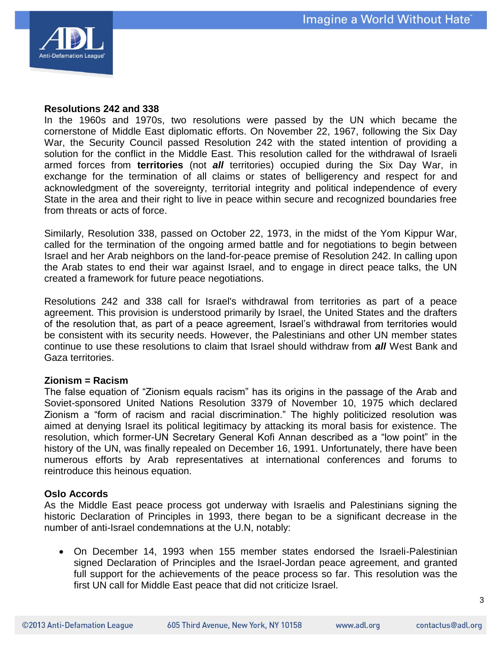

#### **Resolutions 242 and 338**

In the 1960s and 1970s, two resolutions were passed by the UN which became the cornerstone of Middle East diplomatic efforts. On November 22, 1967, following the Six Day War, the Security Council passed Resolution 242 with the stated intention of providing a solution for the conflict in the Middle East. This resolution called for the withdrawal of Israeli armed forces from **territories** (not *all* territories) occupied during the Six Day War, in exchange for the termination of all claims or states of belligerency and respect for and acknowledgment of the sovereignty, territorial integrity and political independence of every State in the area and their right to live in peace within secure and recognized boundaries free from threats or acts of force.

Similarly, Resolution 338, passed on October 22, 1973, in the midst of the Yom Kippur War, called for the termination of the ongoing armed battle and for negotiations to begin between Israel and her Arab neighbors on the land-for-peace premise of Resolution 242. In calling upon the Arab states to end their war against Israel, and to engage in direct peace talks, the UN created a framework for future peace negotiations.

Resolutions 242 and 338 call for Israel's withdrawal from territories as part of a peace agreement. This provision is understood primarily by Israel, the United States and the drafters of the resolution that, as part of a peace agreement, Israel"s withdrawal from territories would be consistent with its security needs. However, the Palestinians and other UN member states continue to use these resolutions to claim that Israel should withdraw from *all* West Bank and Gaza territories.

#### **Zionism = Racism**

The false equation of "Zionism equals racism" has its origins in the passage of the Arab and Soviet-sponsored United Nations Resolution 3379 of November 10, 1975 which declared Zionism a "form of racism and racial discrimination." The highly politicized resolution was aimed at denying Israel its political legitimacy by attacking its moral basis for existence. The resolution, which former-UN Secretary General Kofi Annan described as a "low point" in the history of the UN, was finally repealed on December 16, 1991. Unfortunately, there have been numerous efforts by Arab representatives at international conferences and forums to reintroduce this heinous equation.

#### **Oslo Accords**

As the Middle East peace process got underway with Israelis and Palestinians signing the historic Declaration of Principles in 1993, there began to be a significant decrease in the number of anti-Israel condemnations at the U.N, notably:

 On December 14, 1993 when 155 member states endorsed the Israeli-Palestinian signed Declaration of Principles and the Israel-Jordan peace agreement, and granted full support for the achievements of the peace process so far. This resolution was the first UN call for Middle East peace that did not criticize Israel.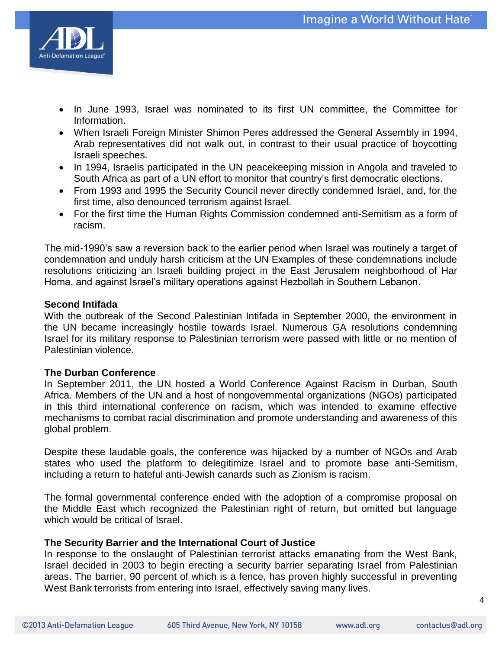

- In June 1993, Israel was nominated to its first UN committee, the Committee for Information.
- When Israeli Foreign Minister Shimon Peres addressed the General Assembly in 1994, Arab representatives did not walk out, in contrast to their usual practice of boycotting Israeli speeches.
- In 1994, Israelis participated in the UN peacekeeping mission in Angola and traveled to South Africa as part of a UN effort to monitor that country"s first democratic elections.
- From 1993 and 1995 the Security Council never directly condemned Israel, and, for the first time, also denounced terrorism against Israel.
- For the first time the Human Rights Commission condemned anti-Semitism as a form of racism.

The mid-1990"s saw a reversion back to the earlier period when Israel was routinely a target of condemnation and unduly harsh criticism at the UN Examples of these condemnations include resolutions criticizing an Israeli building project in the East Jerusalem neighborhood of Har Homa, and against Israel"s military operations against Hezbollah in Southern Lebanon.

# **Second Intifada**

With the outbreak of the Second Palestinian Intifada in September 2000, the environment in the UN became increasingly hostile towards Israel. Numerous GA resolutions condemning Israel for its military response to Palestinian terrorism were passed with little or no mention of Palestinian violence.

# **The Durban Conference**

In September 2011, the UN hosted a World Conference Against Racism in Durban, South Africa. Members of the UN and a host of nongovernmental organizations (NGOs) participated in this third international conference on racism, which was intended to examine effective mechanisms to combat racial discrimination and promote understanding and awareness of this global problem.

Despite these laudable goals, the conference was hijacked by a number of NGOs and Arab states who used the platform to delegitimize Israel and to promote base anti-Semitism, including a return to hateful anti-Jewish canards such as Zionism is racism.

The formal governmental conference ended with the adoption of a compromise proposal on the Middle East which recognized the Palestinian right of return, but omitted but language which would be critical of Israel.

# **The Security Barrier and the International Court of Justice**

In response to the onslaught of Palestinian terrorist attacks emanating from the West Bank, Israel decided in 2003 to begin erecting a security barrier separating Israel from Palestinian areas. The barrier, 90 percent of which is a fence, has proven highly successful in preventing West Bank terrorists from entering into Israel, effectively saving many lives.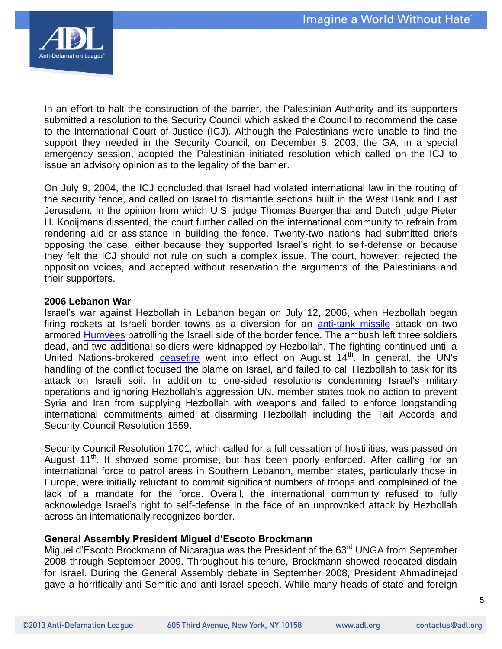

In an effort to halt the construction of the barrier, the Palestinian Authority and its supporters submitted a resolution to the Security Council which asked the Council to recommend the case to the International Court of Justice (ICJ). Although the Palestinians were unable to find the support they needed in the Security Council, on December 8, 2003, the GA, in a special emergency session, adopted the Palestinian initiated resolution which called on the ICJ to issue an advisory opinion as to the legality of the barrier.

On July 9, 2004, the ICJ concluded that Israel had violated international law in the routing of the security fence, and called on Israel to dismantle sections built in the West Bank and East Jerusalem. In the opinion from which U.S. judge Thomas Buergenthal and Dutch judge Pieter H. Kooijmans dissented, the court further called on the international community to refrain from rendering aid or assistance in building the fence. Twenty-two nations had submitted briefs opposing the case, either because they supported Israel"s right to self-defense or because they felt the ICJ should not rule on such a complex issue. The court, however, rejected the opposition voices, and accepted without reservation the arguments of the Palestinians and their supporters.

## **2006 Lebanon War**

Israel"s war against Hezbollah in Lebanon began on July 12, 2006, when Hezbollah began firing rockets at Israeli border towns as a diversion for an [anti-tank missile](http://en.wikipedia.org/wiki/Anti-tank_missile) attack on two armored **Humvees** patrolling the Israeli side of the border fence. The ambush left three soldiers dead, and two additional soldiers were kidnapped by Hezbollah. The fighting continued until a United Nations-brokered [ceasefire](http://en.wikipedia.org/wiki/Ceasefire) went into effect on August  $14<sup>th</sup>$ . In general, the UN's handling of the conflict focused the blame on Israel, and failed to call Hezbollah to task for its attack on Israeli soil. In addition to one-sided resolutions condemning Israel's military operations and ignoring Hezbollah's aggression UN, member states took no action to prevent Syria and Iran from supplying Hezbollah with weapons and failed to enforce longstanding international commitments aimed at disarming Hezbollah including the Taif Accords and Security Council Resolution 1559.

Security Council Resolution 1701, which called for a full cessation of hostilities, was passed on August  $11<sup>th</sup>$ . It showed some promise, but has been poorly enforced. After calling for an international force to patrol areas in Southern Lebanon, member states, particularly those in Europe, were initially reluctant to commit significant numbers of troops and complained of the lack of a mandate for the force. Overall, the international community refused to fully acknowledge Israel"s right to self-defense in the face of an unprovoked attack by Hezbollah across an internationally recognized border.

# **General Assembly President Miguel d'Escoto Brockmann**

Miguel d'Escoto Brockmann of Nicaragua was the President of the 63<sup>rd</sup> UNGA from September 2008 through September 2009. Throughout his tenure, Brockmann showed repeated disdain for Israel. During the General Assembly debate in September 2008, President Ahmadinejad gave a horrifically anti-Semitic and anti-Israel speech. While many heads of state and foreign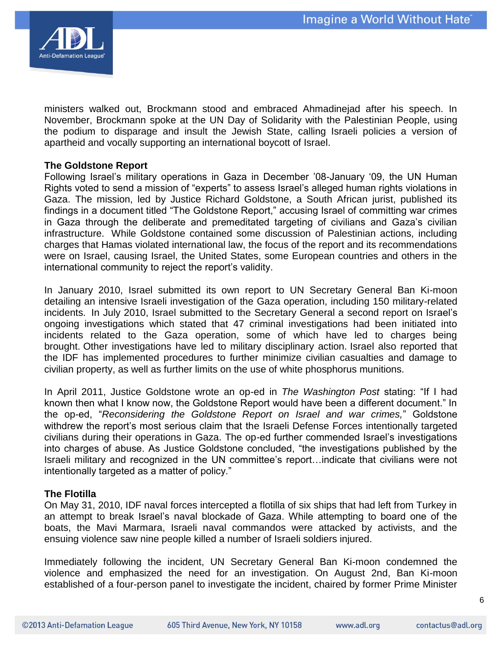

ministers walked out, Brockmann stood and embraced Ahmadinejad after his speech. In November, Brockmann spoke at the UN Day of Solidarity with the Palestinian People, using the podium to disparage and insult the Jewish State, calling Israeli policies a version of apartheid and vocally supporting an international boycott of Israel.

#### **The Goldstone Report**

Following Israel"s military operations in Gaza in December "08-January "09, the UN Human Rights voted to send a mission of "experts" to assess Israel"s alleged human rights violations in Gaza. The mission, led by Justice Richard Goldstone, a South African jurist, published its findings in a document titled "The Goldstone Report," accusing Israel of committing war crimes in Gaza through the deliberate and premeditated targeting of civilians and Gaza"s civilian infrastructure. While Goldstone contained some discussion of Palestinian actions, including charges that Hamas violated international law, the focus of the report and its recommendations were on Israel, causing Israel, the United States, some European countries and others in the international community to reject the report's validity.

In January 2010, Israel submitted its own report to UN Secretary General Ban Ki-moon detailing an intensive Israeli investigation of the Gaza operation, including 150 military-related incidents. In July 2010, Israel submitted to the Secretary General a second report on Israel"s ongoing investigations which stated that 47 criminal investigations had been initiated into incidents related to the Gaza operation, some of which have led to charges being brought. Other investigations have led to military disciplinary action. Israel also reported that the IDF has implemented procedures to further minimize civilian casualties and damage to civilian property, as well as further limits on the use of white phosphorus munitions.

In April 2011, Justice Goldstone wrote an op-ed in *The Washington Post* stating: "If I had known then what I know now, the Goldstone Report would have been a different document." In the op-ed, "*Reconsidering the Goldstone Report on Israel and war crimes,*" Goldstone withdrew the report's most serious claim that the Israeli Defense Forces intentionally targeted civilians during their operations in Gaza. The op-ed further commended Israel"s investigations into charges of abuse. As Justice Goldstone concluded, "the investigations published by the Israeli military and recognized in the UN committee"s report…indicate that civilians were not intentionally targeted as a matter of policy."

#### **The Flotilla**

On May 31, 2010, IDF naval forces intercepted a flotilla of six ships that had left from Turkey in an attempt to break Israel"s naval blockade of Gaza. While attempting to board one of the boats, the Mavi Marmara, Israeli naval commandos were attacked by activists, and the ensuing violence saw nine people killed a number of Israeli soldiers injured.

Immediately following the incident, UN Secretary General Ban Ki-moon condemned the violence and emphasized the need for an investigation. On August 2nd, Ban Ki-moon established of a four-person panel to investigate the incident, chaired by former Prime Minister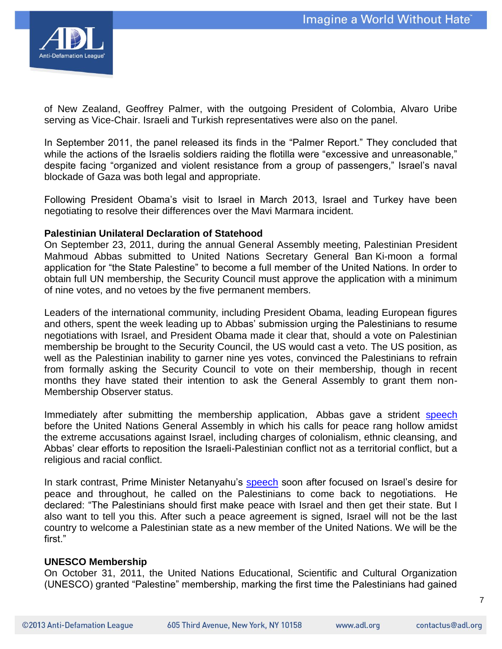

of New Zealand, Geoffrey Palmer, with the outgoing President of Colombia, Alvaro Uribe serving as Vice-Chair. Israeli and Turkish representatives were also on the panel.

In September 2011, the panel released its finds in the "Palmer Report." They concluded that while the actions of the Israelis soldiers raiding the flotilla were "excessive and unreasonable," despite facing "organized and violent resistance from a group of passengers," Israel"s naval blockade of Gaza was both legal and appropriate.

Following President Obama"s visit to Israel in March 2013, Israel and Turkey have been negotiating to resolve their differences over the Mavi Marmara incident.

## **Palestinian Unilateral Declaration of Statehood**

On September 23, 2011, during the annual General Assembly meeting, Palestinian President Mahmoud Abbas submitted to United Nations Secretary General Ban Ki-moon a formal application for "the State Palestine" to become a full member of the United Nations. In order to obtain full UN membership, the Security Council must approve the application with a minimum of nine votes, and no vetoes by the five permanent members.

Leaders of the international community, including President Obama, leading European figures and others, spent the week leading up to Abbas" submission urging the Palestinians to resume negotiations with Israel, and President Obama made it clear that, should a vote on Palestinian membership be brought to the Security Council, the US would cast a veto. The US position, as well as the Palestinian inability to garner nine yes votes, convinced the Palestinians to refrain from formally asking the Security Council to vote on their membership, though in recent months they have stated their intention to ask the General Assembly to grant them non-Membership Observer status.

Immediately after submitting the membership application, Abbas gave a strident [speech](http://gadebate.un.org/66/palestine) before the United Nations General Assembly in which his calls for peace rang hollow amidst the extreme accusations against Israel, including charges of colonialism, ethnic cleansing, and Abbas" clear efforts to reposition the Israeli-Palestinian conflict not as a territorial conflict, but a religious and racial conflict.

In stark contrast, Prime Minister Netanyahu's [speech](http://gadebate.un.org/66/israel) soon after focused on Israel's desire for peace and throughout, he called on the Palestinians to come back to negotiations. He declared: "The Palestinians should first make peace with Israel and then get their state. But I also want to tell you this. After such a peace agreement is signed, Israel will not be the last country to welcome a Palestinian state as a new member of the United Nations. We will be the first."

#### **UNESCO Membership**

On October 31, 2011, the United Nations Educational, Scientific and Cultural Organization (UNESCO) granted "Palestine" membership, marking the first time the Palestinians had gained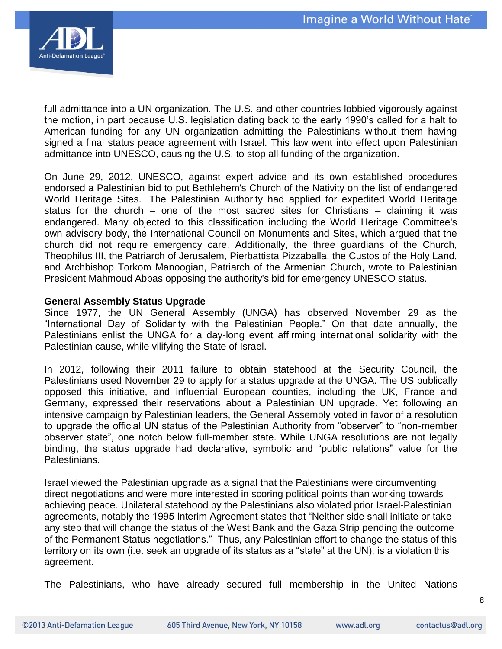

full admittance into a UN organization. The U.S. and other countries lobbied vigorously against the motion, in part because U.S. legislation dating back to the early 1990"s called for a halt to American funding for any UN organization admitting the Palestinians without them having signed a final status peace agreement with Israel. This law went into effect upon Palestinian admittance into UNESCO, causing the U.S. to stop all funding of the organization.

On June 29, 2012, UNESCO, against expert advice and its own established procedures endorsed a Palestinian bid to put Bethlehem's Church of the Nativity on the list of endangered World Heritage Sites. The Palestinian Authority had applied for expedited World Heritage status for the church – one of the most sacred sites for Christians – claiming it was endangered. Many objected to this classification including the World Heritage Committee's own advisory body, the International Council on Monuments and Sites, which argued that the church did not require emergency care. Additionally, the three guardians of the Church, Theophilus III, the Patriarch of Jerusalem, Pierbattista Pizzaballa, the Custos of the Holy Land, and Archbishop Torkom Manoogian, Patriarch of the Armenian Church, wrote to Palestinian President Mahmoud Abbas opposing the authority's bid for emergency UNESCO status.

## **General Assembly Status Upgrade**

Since 1977, the UN General Assembly (UNGA) has observed November 29 as the "International Day of Solidarity with the Palestinian People." On that date annually, the Palestinians enlist the UNGA for a day-long event affirming international solidarity with the Palestinian cause, while vilifying the State of Israel.

In 2012, following their 2011 failure to obtain statehood at the Security Council, the Palestinians used November 29 to apply for a status upgrade at the UNGA. The US publically opposed this initiative, and influential European counties, including the UK, France and Germany, expressed their reservations about a Palestinian UN upgrade. Yet following an intensive campaign by Palestinian leaders, the General Assembly voted in favor of a resolution to upgrade the official UN status of the Palestinian Authority from "observer" to "non-member observer state", one notch below full-member state. While UNGA resolutions are not legally binding, the status upgrade had declarative, symbolic and "public relations" value for the Palestinians.

Israel viewed the Palestinian upgrade as a signal that the Palestinians were circumventing direct negotiations and were more interested in scoring political points than working towards achieving peace. Unilateral statehood by the Palestinians also violated prior Israel-Palestinian agreements, notably the 1995 Interim Agreement states that "Neither side shall initiate or take any step that will change the status of the West Bank and the Gaza Strip pending the outcome of the Permanent Status negotiations." Thus, any Palestinian effort to change the status of this territory on its own (i.e. seek an upgrade of its status as a "state" at the UN), is a violation this agreement.

The Palestinians, who have already secured full membership in the United Nations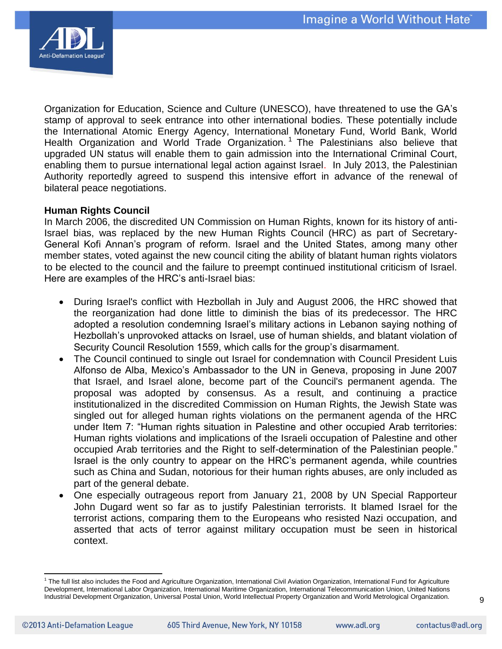

Organization for Education, Science and Culture (UNESCO), have threatened to use the GA"s stamp of approval to seek entrance into other international bodies. These potentially include the International Atomic Energy Agency, International Monetary Fund, World Bank, World Health Organization and World Trade Organization.<sup>1</sup> The Palestinians also believe that upgraded UN status will enable them to gain admission into the International Criminal Court, enabling them to pursue international legal action against Israel. In July 2013, the Palestinian Authority reportedly agreed to suspend this intensive effort in advance of the renewal of bilateral peace negotiations.

## **Human Rights Council**

In March 2006, the discredited UN Commission on Human Rights, known for its history of anti-Israel bias, was replaced by the new Human Rights Council (HRC) as part of Secretary-General Kofi Annan"s program of reform. Israel and the United States, among many other member states, voted against the new council citing the ability of blatant human rights violators to be elected to the council and the failure to preempt continued institutional criticism of Israel. Here are examples of the HRC"s anti-Israel bias:

- During Israel's conflict with Hezbollah in July and August 2006, the HRC showed that the reorganization had done little to diminish the bias of its predecessor. The HRC adopted a resolution condemning Israel"s military actions in Lebanon saying nothing of Hezbollah"s unprovoked attacks on Israel, use of human shields, and blatant violation of Security Council Resolution 1559, which calls for the group"s disarmament.
- The Council continued to single out Israel for condemnation with Council President Luis Alfonso de Alba, Mexico's Ambassador to the UN in Geneva, proposing in June 2007 that Israel, and Israel alone, become part of the Council's permanent agenda. The proposal was adopted by consensus. As a result, and continuing a practice institutionalized in the discredited Commission on Human Rights, the Jewish State was singled out for alleged human rights violations on the permanent agenda of the HRC under Item 7: "Human rights situation in Palestine and other occupied Arab territories: Human rights violations and implications of the Israeli occupation of Palestine and other occupied Arab territories and the Right to self-determination of the Palestinian people." Israel is the only country to appear on the HRC"s permanent agenda, while countries such as China and Sudan, notorious for their human rights abuses, are only included as part of the general debate.
- One especially outrageous report from January 21, 2008 by UN Special Rapporteur John Dugard went so far as to justify Palestinian terrorists. It blamed Israel for the terrorist actions, comparing them to the Europeans who resisted Nazi occupation, and asserted that acts of terror against military occupation must be seen in historical context.

 $\overline{\phantom{a}}$ 

<sup>&</sup>lt;sup>1</sup> The full list also includes the Food and Agriculture Organization, International Civil Aviation Organization, International Fund for Agriculture Development, International Labor Organization, International Maritime Organization, International Telecommunication Union, United Nations Industrial Development Organization, Universal Postal Union, World Intellectual Property Organization and World Metrological Organization.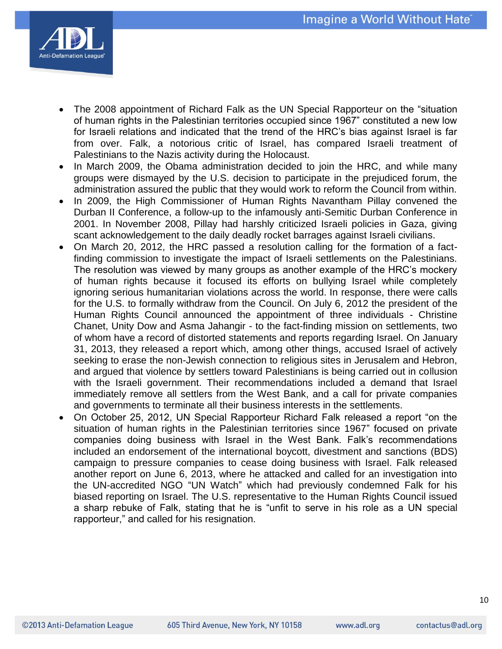

- The 2008 appointment of Richard Falk as the UN Special Rapporteur on the "situation of human rights in the Palestinian territories occupied since 1967" constituted a new low for Israeli relations and indicated that the trend of the HRC"s bias against Israel is far from over. Falk, a notorious critic of Israel, has compared Israeli treatment of Palestinians to the Nazis activity during the Holocaust.
- In March 2009, the Obama administration decided to join the HRC, and while many groups were dismayed by the U.S. decision to participate in the prejudiced forum, the administration assured the public that they would work to reform the Council from within.
- In 2009, the High Commissioner of Human Rights Navantham Pillay convened the Durban II Conference, a follow-up to the infamously anti-Semitic Durban Conference in 2001. In November 2008, Pillay had harshly criticized Israeli policies in Gaza, giving scant acknowledgement to the daily deadly rocket barrages against Israeli civilians.
- On March 20, 2012, the HRC passed a resolution calling for the formation of a factfinding commission to investigate the impact of Israeli settlements on the Palestinians. The resolution was viewed by many groups as another example of the HRC"s mockery of human rights because it focused its efforts on bullying Israel while completely ignoring serious humanitarian violations across the world. In response, there were calls for the U.S. to formally withdraw from the Council. On July 6, 2012 the president of the Human Rights Council announced the appointment of three individuals - Christine Chanet, Unity Dow and Asma Jahangir - to the fact-finding mission on settlements, two of whom have a record of distorted statements and reports regarding Israel. On January 31, 2013, they released a report which, among other things, accused Israel of actively seeking to erase the non-Jewish connection to religious sites in Jerusalem and Hebron, and argued that violence by settlers toward Palestinians is being carried out in collusion with the Israeli government. Their recommendations included a demand that Israel immediately remove all settlers from the West Bank, and a call for private companies and governments to terminate all their business interests in the settlements.
- On October 25, 2012, UN Special Rapporteur Richard Falk released a report "on the situation of human rights in the Palestinian territories since 1967" focused on private companies doing business with Israel in the West Bank. Falk"s recommendations included an endorsement of the international boycott, divestment and sanctions (BDS) campaign to pressure companies to cease doing business with Israel. Falk released another report on June 6, 2013, where he attacked and called for an investigation into the UN-accredited NGO "UN Watch" which had previously condemned Falk for his biased reporting on Israel. The U.S. representative to the Human Rights Council issued a sharp rebuke of Falk, stating that he is "unfit to serve in his role as a UN special rapporteur," and called for his resignation.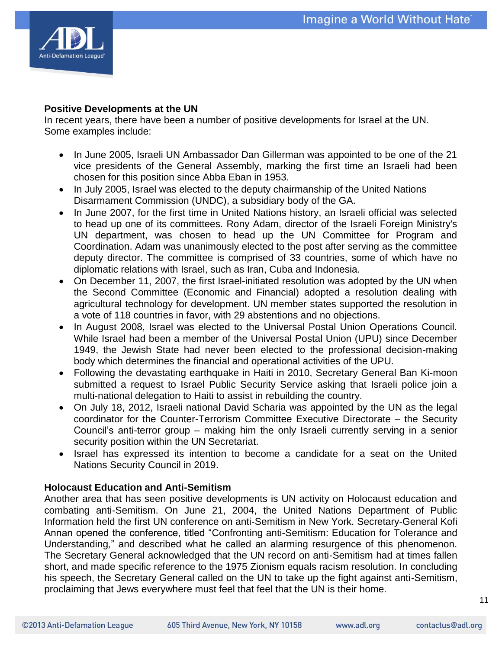

## **Positive Developments at the UN**

In recent years, there have been a number of positive developments for Israel at the UN. Some examples include:

- In June 2005, Israeli UN Ambassador Dan Gillerman was appointed to be one of the 21 vice presidents of the General Assembly, marking the first time an Israeli had been chosen for this position since Abba Eban in 1953.
- In July 2005, Israel was elected to the deputy chairmanship of the United Nations Disarmament Commission (UNDC), a subsidiary body of the GA.
- In June 2007, for the first time in United Nations history, an Israeli official was selected to head up one of its committees. Rony Adam, director of the Israeli Foreign Ministry's UN department, was chosen to head up the UN Committee for Program and Coordination. Adam was unanimously elected to the post after serving as the committee deputy director. The committee is comprised of 33 countries, some of which have no diplomatic relations with Israel, such as Iran, Cuba and Indonesia.
- On December 11, 2007, the first Israel-initiated resolution was adopted by the UN when the Second Committee (Economic and Financial) adopted a resolution dealing with agricultural technology for development. UN member states supported the resolution in a vote of 118 countries in favor, with 29 abstentions and no objections.
- In August 2008, Israel was elected to the Universal Postal Union Operations Council. While Israel had been a member of the Universal Postal Union (UPU) since December 1949, the Jewish State had never been elected to the professional decision-making body which determines the financial and operational activities of the UPU.
- Following the devastating earthquake in Haiti in 2010, Secretary General Ban Ki-moon submitted a request to Israel Public Security Service asking that Israeli police join a multi-national delegation to Haiti to assist in rebuilding the country.
- On July 18, 2012, Israeli national David Scharia was appointed by the UN as the legal coordinator for the Counter-Terrorism Committee Executive Directorate – the Security Council"s anti-terror group – making him the only Israeli currently serving in a senior security position within the UN Secretariat.
- Israel has expressed its intention to become a candidate for a seat on the United Nations Security Council in 2019.

# **Holocaust Education and Anti-Semitism**

Another area that has seen positive developments is UN activity on Holocaust education and combating anti-Semitism. On June 21, 2004, the United Nations Department of Public Information held the first UN conference on anti-Semitism in New York. Secretary-General Kofi Annan opened the conference, titled "Confronting anti-Semitism: Education for Tolerance and Understanding*,*" and described what he called an alarming resurgence of this phenomenon. The Secretary General acknowledged that the UN record on anti-Semitism had at times fallen short, and made specific reference to the 1975 Zionism equals racism resolution. In concluding his speech, the Secretary General called on the UN to take up the fight against anti-Semitism, proclaiming that Jews everywhere must feel that feel that the UN is their home.